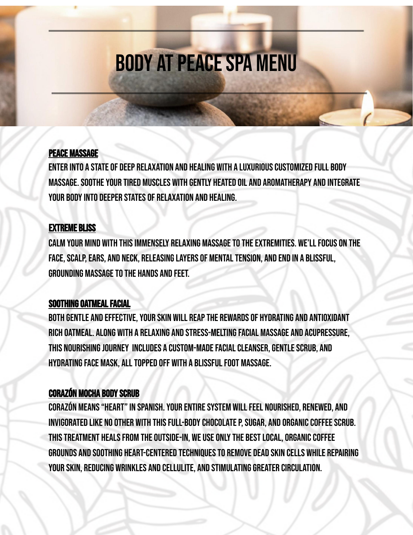# **BODY AT PEACE SPA MENU**

### Peace massage

Enter into a state of deep relaxation and healing with a luxuriouscustomized full body massage.Sootheyour tired muscles with gently heated oil and aromatherapy and integrate your bodyinto deeper states of relaxation and healing.

### Extreme bliss

CALM YOUR MIND WITH THIS IMMENSELY RELAXING MASSAGE TO THE EXTREMITIES. WE'LL FOCUS ON THE FACE, SCALP, EARS, AND NECK, RELEASING LAYERS OF MENTAL TENSION, AND END IN A BLISSFUL, **GROUNDING MASSAGE TO THE HANDS AND FEET.** 

### SOOTHING OATMEAL FACIAL

BOTH GENTLE AND EFFECTIVE, YOUR SKIN WILL REAP THE REWARDS OF HYDRATING AND ANTIOXIDANT rich oatmeal. Along with a relaxing and stress-meltingfacial massage and acupressure, THIS NOURISHING JOURNEY INCLUDES A CUSTOM-MADE FACIAL CLEANSER, GENTLE SCRUB, AND hydratingface mask, alltopped off with a blissfulfoot massage.

## **CORAZÓN MOCHA BODY SCRUB**

CORAZÓN MEANS "HEART" IN SPANISH. YOUR ENTIRE SYSTEM WILL FEEL NOURISHED, RENEWED, AND INVIGORATED LIKE NO OTHER WITH THIS FULL-BODY CHOCOLATE P, SUGAR, AND ORGANIC COFFEE SCRUB. THIS TREATMENT HEALS FROM THE OUTSIDE-IN, WE USE ONLY THE BEST LOCAL, ORGANIC COFFEE grounds and soothing heart-centered techniquesto remove dead skin cells while repairing your skin, reducing wrinkles and cellulite, and stimulatinggreater circulation.